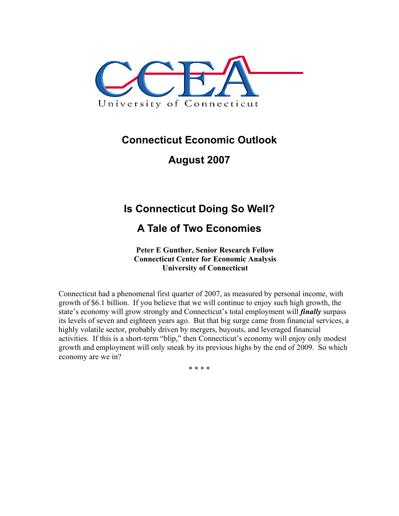

### **Connecticut Economic Outlook**

**August 2007** 

# **Is Connecticut Doing So Well?**

## **A Tale of Two Economies**

**Peter E Gunther, Senior Research Fellow Connecticut Center for Economic Analysis University of Connecticut** 

Connecticut had a phenomenal first quarter of 2007, as measured by personal income, with growth of \$6.1 billion. If you believe that we will continue to enjoy such high growth, the state's economy will grow strongly and Connecticut's total employment will *finally* surpass its levels of seven and eighteen years ago. But that big surge came from financial services, a highly volatile sector, probably driven by mergers, buyouts, and leveraged financial activities. If this is a short-term "blip," then Connecticut's economy will enjoy only modest growth and employment will only sneak by its previous highs by the end of 2009. So which economy are we in?

\* \* \* \*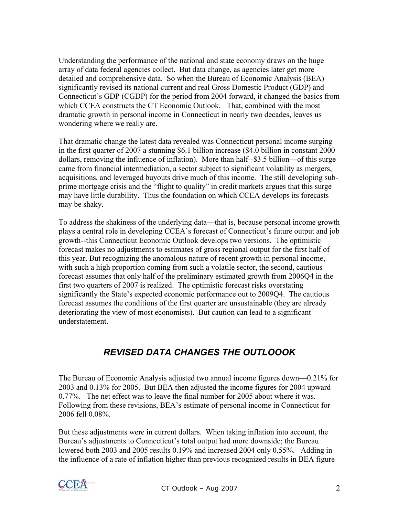Understanding the performance of the national and state economy draws on the huge array of data federal agencies collect. But data change, as agencies later get more detailed and comprehensive data. So when the Bureau of Economic Analysis (BEA) significantly revised its national current and real Gross Domestic Product (GDP) and Connecticut's GDP (CGDP) for the period from 2004 forward, it changed the basics from which CCEA constructs the CT Economic Outlook. That, combined with the most dramatic growth in personal income in Connecticut in nearly two decades, leaves us wondering where we really are.

That dramatic change the latest data revealed was Connecticut personal income surging in the first quarter of 2007 a stunning \$6.1 billion increase (\$4.0 billion in constant 2000 dollars, removing the influence of inflation). More than half--\$3.5 billion—of this surge came from financial intermediation, a sector subject to significant volatility as mergers, acquisitions, and leveraged buyouts drive much of this income. The still developing subprime mortgage crisis and the "flight to quality" in credit markets argues that this surge may have little durability. Thus the foundation on which CCEA develops its forecasts may be shaky.

To address the shakiness of the underlying data—that is, because personal income growth plays a central role in developing CCEA's forecast of Connecticut's future output and job growth--this Connecticut Economic Outlook develops two versions. The optimistic forecast makes no adjustments to estimates of gross regional output for the first half of this year. But recognizing the anomalous nature of recent growth in personal income, with such a high proportion coming from such a volatile sector, the second, cautious forecast assumes that only half of the preliminary estimated growth from 2006Q4 in the first two quarters of 2007 is realized. The optimistic forecast risks overstating significantly the State's expected economic performance out to 2009Q4. The cautious forecast assumes the conditions of the first quarter are unsustainable (they are already deteriorating the view of most economists). But caution can lead to a significant understatement.

### *REVISED DATA CHANGES THE OUTLOOOK*

The Bureau of Economic Analysis adjusted two annual income figures down—0.21% for 2003 and 0.13% for 2005. But BEA then adjusted the income figures for 2004 upward 0.77%. The net effect was to leave the final number for 2005 about where it was. Following from these revisions, BEA's estimate of personal income in Connecticut for 2006 fell 0.08%.

But these adjustments were in current dollars. When taking inflation into account, the Bureau's adjustments to Connecticut's total output had more downside; the Bureau lowered both 2003 and 2005 results 0.19% and increased 2004 only 0.55%. Adding in the influence of a rate of inflation higher than previous recognized results in BEA figure

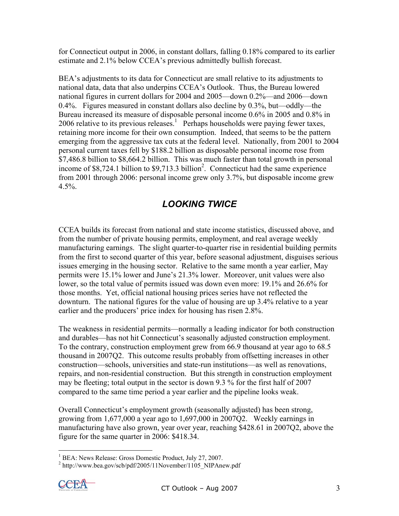for Connecticut output in 2006, in constant dollars, falling 0.18% compared to its earlier estimate and 2.1% below CCEA's previous admittedly bullish forecast.

BEA's adjustments to its data for Connecticut are small relative to its adjustments to national data, data that also underpins CCEA's Outlook. Thus, the Bureau lowered national figures in current dollars for 2004 and 2005—down 0.2%—and 2006—down 0.4%. Figures measured in constant dollars also decline by 0.3%, but—oddly—the Bureau increased its measure of disposable personal income 0.6% in 2005 and 0.8% in 2006 relative to its previous releases.<sup>1</sup> Perhaps households were paying fewer taxes, retaining more income for their own consumption. Indeed, that seems to be the pattern emerging from the aggressive tax cuts at the federal level. Nationally, from 2001 to 2004 personal current taxes fell by \$188.2 billion as disposable personal income rose from \$7,486.8 billion to \$8,664.2 billion. This was much faster than total growth in personal income of  $$8,724.1$  billion to  $$9,713.3$  billion<sup>2</sup>. Connecticut had the same experience from 2001 through 2006: personal income grew only 3.7%, but disposable income grew  $4.5%$ .

### *LOOKING TWICE*

CCEA builds its forecast from national and state income statistics, discussed above, and from the number of private housing permits, employment, and real average weekly manufacturing earnings. The slight quarter-to-quarter rise in residential building permits from the first to second quarter of this year, before seasonal adjustment, disguises serious issues emerging in the housing sector. Relative to the same month a year earlier, May permits were 15.1% lower and June's 21.3% lower. Moreover, unit values were also lower, so the total value of permits issued was down even more: 19.1% and 26.6% for those months. Yet, official national housing prices series have not reflected the downturn. The national figures for the value of housing are up 3.4% relative to a year earlier and the producers' price index for housing has risen 2.8%.

The weakness in residential permits—normally a leading indicator for both construction and durables—has not hit Connecticut's seasonally adjusted construction employment. To the contrary, construction employment grew from 66.9 thousand at year ago to 68.5 thousand in 2007Q2. This outcome results probably from offsetting increases in other construction—schools, universities and state-run institutions—as well as renovations, repairs, and non-residential construction. But this strength in construction employment may be fleeting; total output in the sector is down 9.3 % for the first half of 2007 compared to the same time period a year earlier and the pipeline looks weak.

Overall Connecticut's employment growth (seasonally adjusted) has been strong, growing from 1,677,000 a year ago to 1,697,000 in 2007Q2. Weekly earnings in manufacturing have also grown, year over year, reaching \$428.61 in 2007Q2, above the figure for the same quarter in 2006: \$418.34.

 $^{2}$  http://www.bea.gov/scb/pdf/2005/11November/1105\_NIPAnew.pdf



 $\overline{a}$ 

<sup>&</sup>lt;sup>1</sup> BEA: News Release: Gross Domestic Product, July 27, 2007.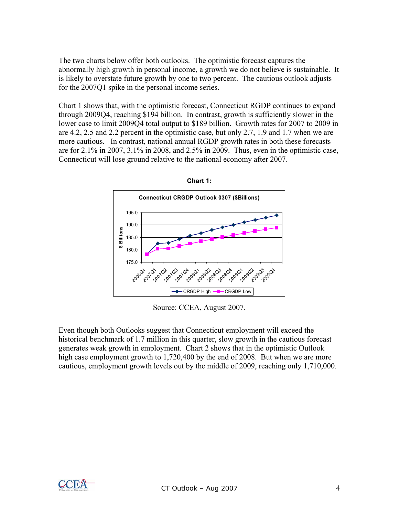The two charts below offer both outlooks. The optimistic forecast captures the abnormally high growth in personal income, a growth we do not believe is sustainable. It is likely to overstate future growth by one to two percent. The cautious outlook adjusts for the 2007Q1 spike in the personal income series.

Chart 1 shows that, with the optimistic forecast, Connecticut RGDP continues to expand through 2009Q4, reaching \$194 billion. In contrast, growth is sufficiently slower in the lower case to limit 2009Q4 total output to \$189 billion. Growth rates for 2007 to 2009 in are 4.2, 2.5 and 2.2 percent in the optimistic case, but only 2.7, 1.9 and 1.7 when we are more cautious. In contrast, national annual RGDP growth rates in both these forecasts are for 2.1% in 2007, 3.1% in 2008, and 2.5% in 2009. Thus, even in the optimistic case, Connecticut will lose ground relative to the national economy after 2007.





Source: CCEA, August 2007.

Even though both Outlooks suggest that Connecticut employment will exceed the historical benchmark of 1.7 million in this quarter, slow growth in the cautious forecast generates weak growth in employment. Chart 2 shows that in the optimistic Outlook high case employment growth to 1,720,400 by the end of 2008. But when we are more cautious, employment growth levels out by the middle of 2009, reaching only 1,710,000.

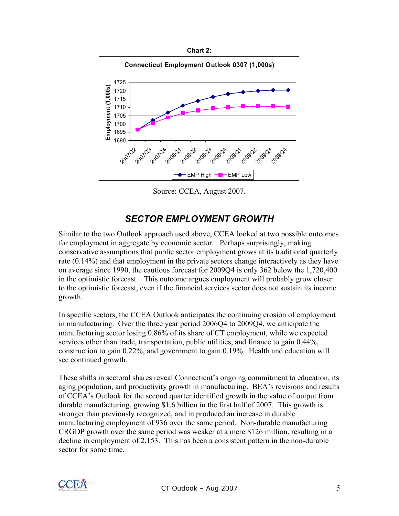

Source: CCEA, August 2007.

#### *SECTOR EMPLOYMENT GROWTH*

Similar to the two Outlook approach used above, CCEA looked at two possible outcomes for employment in aggregate by economic sector. Perhaps surprisingly, making conservative assumptions that public sector employment grows at its traditional quarterly rate (0.14%) and that employment in the private sectors change interactively as they have on average since 1990, the cautious forecast for 2009Q4 is only 362 below the 1,720,400 in the optimistic forecast. This outcome argues employment will probably grow closer to the optimistic forecast, even if the financial services sector does not sustain its income growth.

In specific sectors, the CCEA Outlook anticipates the continuing erosion of employment in manufacturing. Over the three year period 2006Q4 to 2009Q4, we anticipate the manufacturing sector losing 0.86% of its share of CT employment, while we expected services other than trade, transportation, public utilities, and finance to gain 0.44%, construction to gain 0.22%, and government to gain 0.19%. Health and education will see continued growth.

These shifts in sectoral shares reveal Connecticut's ongoing commitment to education, its aging population, and productivity growth in manufacturing. BEA's revisions and results of CCEA's Outlook for the second quarter identified growth in the value of output from durable manufacturing, growing \$1.6 billion in the first half of 2007. This growth is stronger than previously recognized, and in produced an increase in durable manufacturing employment of 936 over the same period. Non-durable manufacturing CRGDP growth over the same period was weaker at a mere \$126 million, resulting in a decline in employment of 2,153. This has been a consistent pattern in the non-durable sector for some time.